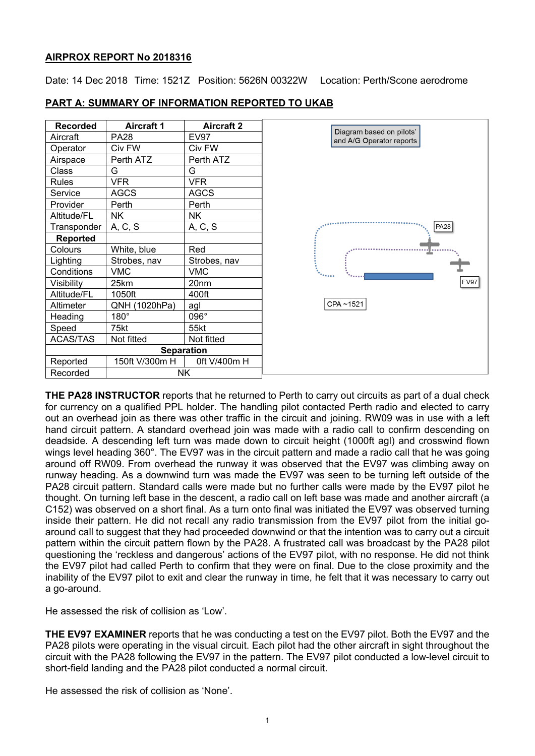### **AIRPROX REPORT No 2018316**

Date: 14 Dec 2018 Time: 1521Z Position: 5626N 00322W Location: Perth/Scone aerodrome

| <b>Recorded</b>   | <b>Aircraft 1</b> | <b>Aircraft 2</b> |                                                                                                                                 |
|-------------------|-------------------|-------------------|---------------------------------------------------------------------------------------------------------------------------------|
| Aircraft          | <b>PA28</b>       | <b>EV97</b>       | Diagram based on pilots'<br>and A/G Operator reports<br><b>PA28</b><br>$\mathcal{H}_{\text{Permat}}$<br><b>EV97</b><br>CPA~1521 |
| Operator          | Civ FW            | Civ FW            |                                                                                                                                 |
| Airspace          | Perth ATZ         | Perth ATZ         |                                                                                                                                 |
| Class             | G                 | G                 |                                                                                                                                 |
| Rules             | <b>VFR</b>        | <b>VFR</b>        |                                                                                                                                 |
| Service           | <b>AGCS</b>       | <b>AGCS</b>       |                                                                                                                                 |
| Provider          | Perth             | Perth             |                                                                                                                                 |
| Altitude/FL       | <b>NK</b>         | <b>NK</b>         |                                                                                                                                 |
| Transponder       | A, C, S           | A, C, S           |                                                                                                                                 |
| Reported          |                   |                   |                                                                                                                                 |
| Colours           | White, blue       | Red               |                                                                                                                                 |
| Lighting          | Strobes, nav      | Strobes, nav      |                                                                                                                                 |
| Conditions        | <b>VMC</b>        | <b>VMC</b>        |                                                                                                                                 |
| Visibility        | 25km              | 20 <sub>nm</sub>  |                                                                                                                                 |
| Altitude/FL       | 1050ft            | 400ft             |                                                                                                                                 |
| Altimeter         | QNH (1020hPa)     | agl               |                                                                                                                                 |
| Heading           | $180^\circ$       | 096°              |                                                                                                                                 |
| Speed             | 75kt              | 55kt              |                                                                                                                                 |
| <b>ACAS/TAS</b>   | Not fitted        | Not fitted        |                                                                                                                                 |
| <b>Separation</b> |                   |                   |                                                                                                                                 |
| Reported          | 150ft V/300m H    | 0ft V/400m H      |                                                                                                                                 |
| Recorded          | <b>NK</b>         |                   |                                                                                                                                 |

# **PART A: SUMMARY OF INFORMATION REPORTED TO UKAB**

**THE PA28 INSTRUCTOR** reports that he returned to Perth to carry out circuits as part of a dual check for currency on a qualified PPL holder. The handling pilot contacted Perth radio and elected to carry out an overhead join as there was other traffic in the circuit and joining. RW09 was in use with a left hand circuit pattern. A standard overhead join was made with a radio call to confirm descending on deadside. A descending left turn was made down to circuit height (1000ft agl) and crosswind flown wings level heading 360°. The EV97 was in the circuit pattern and made a radio call that he was going around off RW09. From overhead the runway it was observed that the EV97 was climbing away on runway heading. As a downwind turn was made the EV97 was seen to be turning left outside of the PA28 circuit pattern. Standard calls were made but no further calls were made by the EV97 pilot he thought. On turning left base in the descent, a radio call on left base was made and another aircraft (a C152) was observed on a short final. As a turn onto final was initiated the EV97 was observed turning inside their pattern. He did not recall any radio transmission from the EV97 pilot from the initial goaround call to suggest that they had proceeded downwind or that the intention was to carry out a circuit pattern within the circuit pattern flown by the PA28. A frustrated call was broadcast by the PA28 pilot questioning the 'reckless and dangerous' actions of the EV97 pilot, with no response. He did not think the EV97 pilot had called Perth to confirm that they were on final. Due to the close proximity and the inability of the EV97 pilot to exit and clear the runway in time, he felt that it was necessary to carry out a go-around.

He assessed the risk of collision as 'Low'.

**THE EV97 EXAMINER** reports that he was conducting a test on the EV97 pilot. Both the EV97 and the PA28 pilots were operating in the visual circuit. Each pilot had the other aircraft in sight throughout the circuit with the PA28 following the EV97 in the pattern. The EV97 pilot conducted a low-level circuit to short-field landing and the PA28 pilot conducted a normal circuit.

He assessed the risk of collision as 'None'.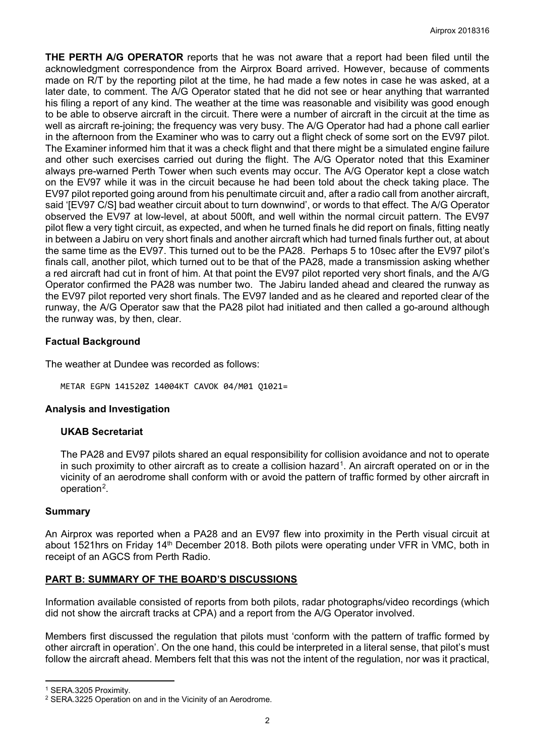**THE PERTH A/G OPERATOR** reports that he was not aware that a report had been filed until the acknowledgment correspondence from the Airprox Board arrived. However, because of comments made on R/T by the reporting pilot at the time, he had made a few notes in case he was asked, at a later date, to comment. The A/G Operator stated that he did not see or hear anything that warranted his filing a report of any kind. The weather at the time was reasonable and visibility was good enough to be able to observe aircraft in the circuit. There were a number of aircraft in the circuit at the time as well as aircraft re-joining; the frequency was very busy. The A/G Operator had had a phone call earlier in the afternoon from the Examiner who was to carry out a flight check of some sort on the EV97 pilot. The Examiner informed him that it was a check flight and that there might be a simulated engine failure and other such exercises carried out during the flight. The A/G Operator noted that this Examiner always pre-warned Perth Tower when such events may occur. The A/G Operator kept a close watch on the EV97 while it was in the circuit because he had been told about the check taking place. The EV97 pilot reported going around from his penultimate circuit and, after a radio call from another aircraft, said '[EV97 C/S] bad weather circuit about to turn downwind', or words to that effect. The A/G Operator observed the EV97 at low-level, at about 500ft, and well within the normal circuit pattern. The EV97 pilot flew a very tight circuit, as expected, and when he turned finals he did report on finals, fitting neatly in between a Jabiru on very short finals and another aircraft which had turned finals further out, at about the same time as the EV97. This turned out to be the PA28. Perhaps 5 to 10sec after the EV97 pilot's finals call, another pilot, which turned out to be that of the PA28, made a transmission asking whether a red aircraft had cut in front of him. At that point the EV97 pilot reported very short finals, and the A/G Operator confirmed the PA28 was number two. The Jabiru landed ahead and cleared the runway as the EV97 pilot reported very short finals. The EV97 landed and as he cleared and reported clear of the runway, the A/G Operator saw that the PA28 pilot had initiated and then called a go-around although the runway was, by then, clear.

### **Factual Background**

The weather at Dundee was recorded as follows:

METAR EGPN 141520Z 14004KT CAVOK 04/M01 Q1021=

### **Analysis and Investigation**

### **UKAB Secretariat**

The PA28 and EV97 pilots shared an equal responsibility for collision avoidance and not to operate in such proximity to other aircraft as to create a collision hazard<sup>[1](#page-1-0)</sup>. An aircraft operated on or in the vicinity of an aerodrome shall conform with or avoid the pattern of traffic formed by other aircraft in operation[2.](#page-1-1)

### **Summary**

An Airprox was reported when a PA28 and an EV97 flew into proximity in the Perth visual circuit at about 1521hrs on Friday 14<sup>th</sup> December 2018. Both pilots were operating under VFR in VMC, both in receipt of an AGCS from Perth Radio.

# **PART B: SUMMARY OF THE BOARD'S DISCUSSIONS**

Information available consisted of reports from both pilots, radar photographs/video recordings (which did not show the aircraft tracks at CPA) and a report from the A/G Operator involved.

Members first discussed the regulation that pilots must 'conform with the pattern of traffic formed by other aircraft in operation'. On the one hand, this could be interpreted in a literal sense, that pilot's must follow the aircraft ahead. Members felt that this was not the intent of the regulation, nor was it practical,

 $\overline{a}$ 

<span id="page-1-0"></span><sup>1</sup> SERA.3205 Proximity.

<span id="page-1-1"></span><sup>2</sup> SERA.3225 Operation on and in the Vicinity of an Aerodrome.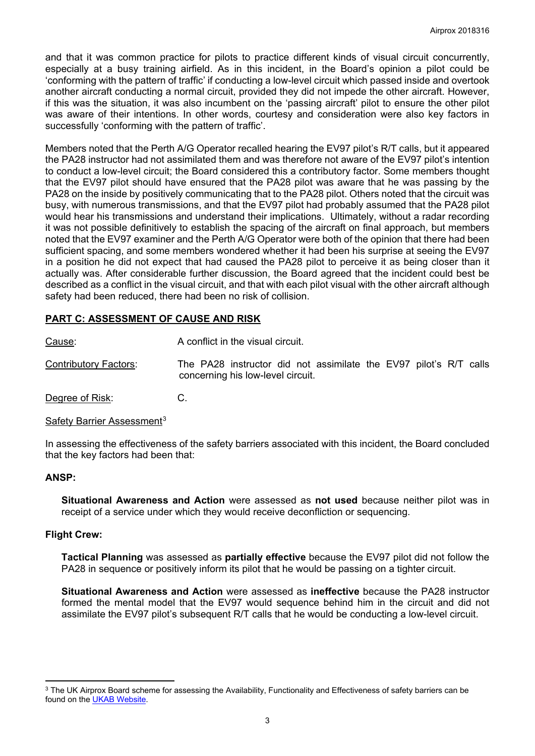and that it was common practice for pilots to practice different kinds of visual circuit concurrently, especially at a busy training airfield. As in this incident, in the Board's opinion a pilot could be 'conforming with the pattern of traffic' if conducting a low-level circuit which passed inside and overtook another aircraft conducting a normal circuit, provided they did not impede the other aircraft. However, if this was the situation, it was also incumbent on the 'passing aircraft' pilot to ensure the other pilot was aware of their intentions. In other words, courtesy and consideration were also key factors in successfully 'conforming with the pattern of traffic'.

Members noted that the Perth A/G Operator recalled hearing the EV97 pilot's R/T calls, but it appeared the PA28 instructor had not assimilated them and was therefore not aware of the EV97 pilot's intention to conduct a low-level circuit; the Board considered this a contributory factor. Some members thought that the EV97 pilot should have ensured that the PA28 pilot was aware that he was passing by the PA28 on the inside by positively communicating that to the PA28 pilot. Others noted that the circuit was busy, with numerous transmissions, and that the EV97 pilot had probably assumed that the PA28 pilot would hear his transmissions and understand their implications. Ultimately, without a radar recording it was not possible definitively to establish the spacing of the aircraft on final approach, but members noted that the EV97 examiner and the Perth A/G Operator were both of the opinion that there had been sufficient spacing, and some members wondered whether it had been his surprise at seeing the EV97 in a position he did not expect that had caused the PA28 pilot to perceive it as being closer than it actually was. After considerable further discussion, the Board agreed that the incident could best be described as a conflict in the visual circuit, and that with each pilot visual with the other aircraft although safety had been reduced, there had been no risk of collision.

# **PART C: ASSESSMENT OF CAUSE AND RISK**

Cause: Cause: A conflict in the visual circuit.

Contributory Factors: The PA28 instructor did not assimilate the EV97 pilot's R/T calls concerning his low-level circuit.

Degree of Risk: C.

### Safety Barrier Assessment<sup>[3](#page-2-0)</sup>

In assessing the effectiveness of the safety barriers associated with this incident, the Board concluded that the key factors had been that:

### **ANSP:**

 $\overline{a}$ 

**Situational Awareness and Action** were assessed as **not used** because neither pilot was in receipt of a service under which they would receive deconfliction or sequencing.

### **Flight Crew:**

**Tactical Planning** was assessed as **partially effective** because the EV97 pilot did not follow the PA28 in sequence or positively inform its pilot that he would be passing on a tighter circuit.

**Situational Awareness and Action** were assessed as **ineffective** because the PA28 instructor formed the mental model that the EV97 would sequence behind him in the circuit and did not assimilate the EV97 pilot's subsequent R/T calls that he would be conducting a low-level circuit.

<span id="page-2-0"></span><sup>&</sup>lt;sup>3</sup> The UK Airprox Board scheme for assessing the Availability, Functionality and Effectiveness of safety barriers can be found on the [UKAB Website.](http://www.airproxboard.org.uk/Learn-more/Airprox-Barrier-Assessment/)